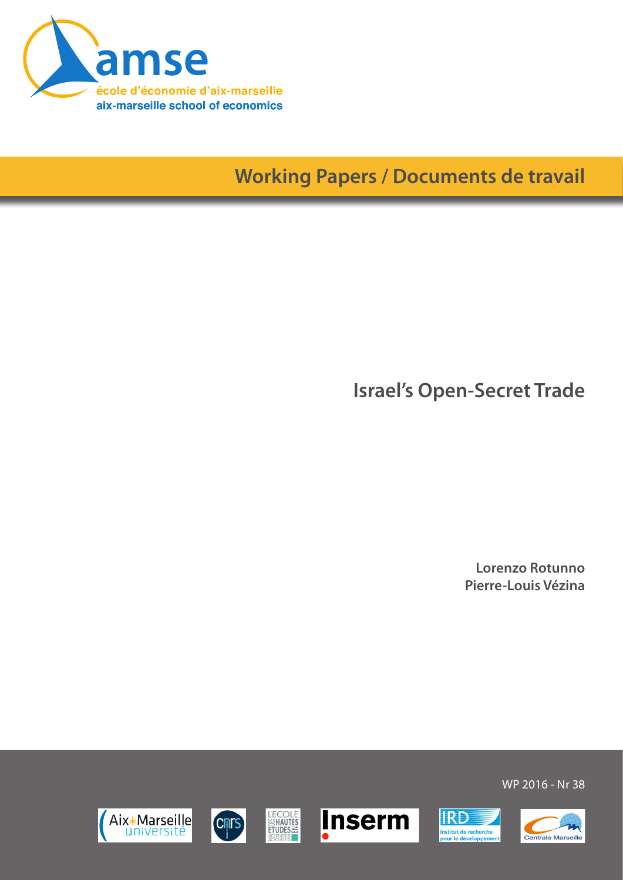

# **Working Papers / Documents de travail**

**Israel's Open-Secret Trade**

**Lorenzo Rotunno Pierre-Louis Vézina**

WP 2016 - Nr 38











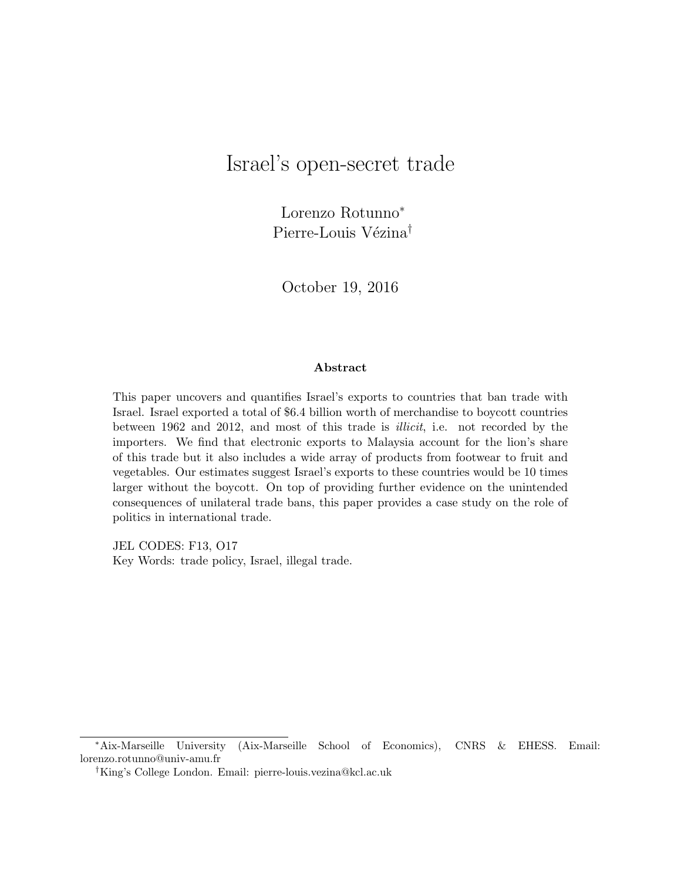## Israel's open-secret trade

Lorenzo Rotunno<sup>∗</sup> Pierre-Louis Vézina<sup>†</sup>

October 19, 2016

#### Abstract

This paper uncovers and quantifies Israel's exports to countries that ban trade with Israel. Israel exported a total of \$6.4 billion worth of merchandise to boycott countries between 1962 and 2012, and most of this trade is illicit, i.e. not recorded by the importers. We find that electronic exports to Malaysia account for the lion's share of this trade but it also includes a wide array of products from footwear to fruit and vegetables. Our estimates suggest Israel's exports to these countries would be 10 times larger without the boycott. On top of providing further evidence on the unintended consequences of unilateral trade bans, this paper provides a case study on the role of politics in international trade.

JEL CODES: F13, O17 Key Words: trade policy, Israel, illegal trade.

<sup>∗</sup>Aix-Marseille University (Aix-Marseille School of Economics), CNRS & EHESS. Email: lorenzo.rotunno@univ-amu.fr

<sup>†</sup>King's College London. Email: pierre-louis.vezina@kcl.ac.uk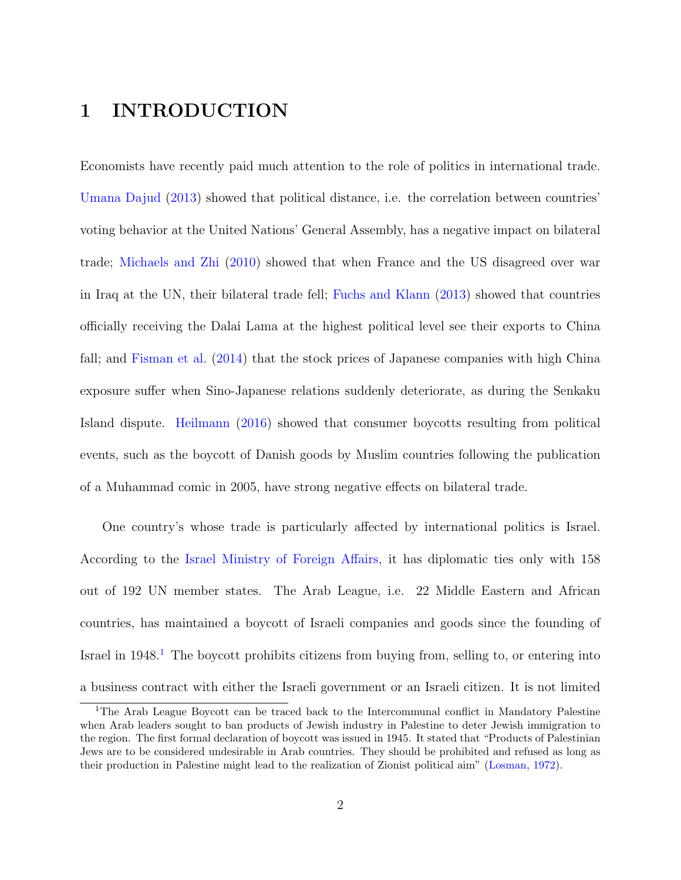#### 1 INTRODUCTION

Economists have recently paid much attention to the role of politics in international trade. [Umana Dajud](#page-25-0) [\(2013\)](#page-25-0) showed that political distance, i.e. the correlation between countries' voting behavior at the United Nations' General Assembly, has a negative impact on bilateral trade; [Michaels and Zhi](#page-24-0) [\(2010\)](#page-24-0) showed that when France and the US disagreed over war in Iraq at the UN, their bilateral trade fell; [Fuchs and Klann](#page-23-0) [\(2013\)](#page-23-0) showed that countries officially receiving the Dalai Lama at the highest political level see their exports to China fall; and [Fisman et al.](#page-23-1) [\(2014\)](#page-23-1) that the stock prices of Japanese companies with high China exposure suffer when Sino-Japanese relations suddenly deteriorate, as during the Senkaku Island dispute. [Heilmann](#page-24-1) [\(2016\)](#page-24-1) showed that consumer boycotts resulting from political events, such as the boycott of Danish goods by Muslim countries following the publication of a Muhammad comic in 2005, have strong negative effects on bilateral trade.

One country's whose trade is particularly affected by international politics is Israel. According to the [Israel Ministry of Foreign Affairs,](http://www.mfa.gov.il/mfa/abouttheministry/pages/israel-s%20diplomatic%20missions%20abroad.aspx) it has diplomatic ties only with 158 out of 192 UN member states. The Arab League, i.e. 22 Middle Eastern and African countries, has maintained a boycott of Israeli companies and goods since the founding of Israel in  $1948<sup>1</sup>$  $1948<sup>1</sup>$ . The boycott prohibits citizens from buying from, selling to, or entering into a business contract with either the Israeli government or an Israeli citizen. It is not limited

<span id="page-2-0"></span><sup>1</sup>The Arab League Boycott can be traced back to the Intercommunal conflict in Mandatory Palestine when Arab leaders sought to ban products of Jewish industry in Palestine to deter Jewish immigration to the region. The first formal declaration of boycott was issued in 1945. It stated that "Products of Palestinian Jews are to be considered undesirable in Arab countries. They should be prohibited and refused as long as their production in Palestine might lead to the realization of Zionist political aim" [\(Losman,](#page-24-2) [1972\)](#page-24-2).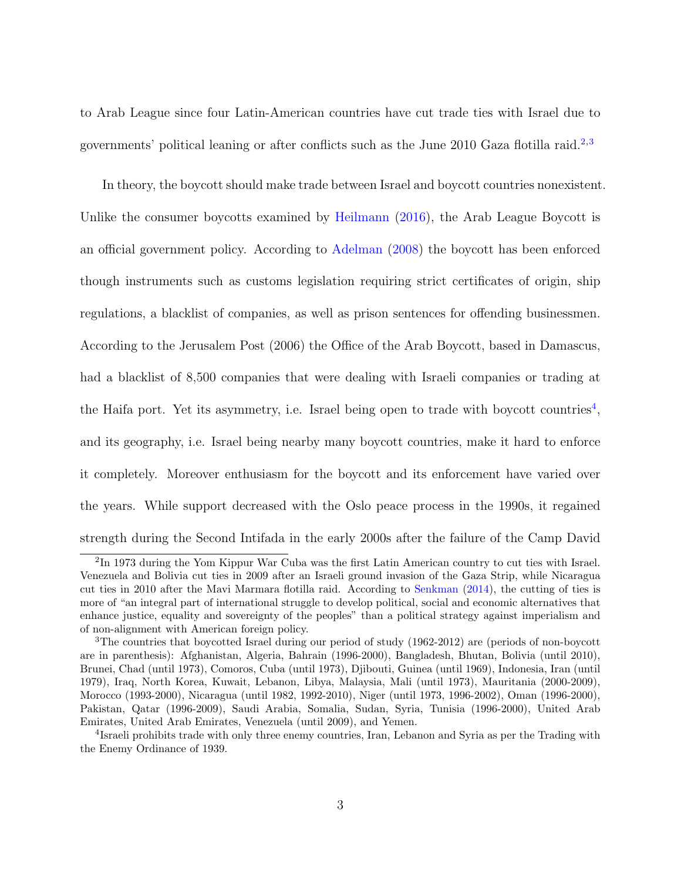to Arab League since four Latin-American countries have cut trade ties with Israel due to governments' political leaning or after conflicts such as the June [2](#page-3-0)010 Gaza flotilla raid.<sup>2,[3](#page-3-1)</sup>

In theory, the boycott should make trade between Israel and boycott countries nonexistent. Unlike the consumer boycotts examined by [Heilmann](#page-24-1) [\(2016\)](#page-24-1), the Arab League Boycott is an official government policy. According to [Adelman](#page-23-2) [\(2008\)](#page-23-2) the boycott has been enforced though instruments such as customs legislation requiring strict certificates of origin, ship regulations, a blacklist of companies, as well as prison sentences for offending businessmen. According to the Jerusalem Post (2006) the Office of the Arab Boycott, based in Damascus, had a blacklist of 8,500 companies that were dealing with Israeli companies or trading at the Haifa port. Yet its asymmetry, i.e. Israel being open to trade with boycott countries<sup>[4](#page-3-2)</sup>, and its geography, i.e. Israel being nearby many boycott countries, make it hard to enforce it completely. Moreover enthusiasm for the boycott and its enforcement have varied over the years. While support decreased with the Oslo peace process in the 1990s, it regained strength during the Second Intifada in the early 2000s after the failure of the Camp David

<span id="page-3-0"></span><sup>&</sup>lt;sup>2</sup>In 1973 during the Yom Kippur War Cuba was the first Latin American country to cut ties with Israel. Venezuela and Bolivia cut ties in 2009 after an Israeli ground invasion of the Gaza Strip, while Nicaragua cut ties in 2010 after the Mavi Marmara flotilla raid. According to [Senkman](#page-25-1) [\(2014\)](#page-25-1), the cutting of ties is more of "an integral part of international struggle to develop political, social and economic alternatives that enhance justice, equality and sovereignty of the peoples" than a political strategy against imperialism and of non-alignment with American foreign policy.

<span id="page-3-1"></span><sup>3</sup>The countries that boycotted Israel during our period of study (1962-2012) are (periods of non-boycott are in parenthesis): Afghanistan, Algeria, Bahrain (1996-2000), Bangladesh, Bhutan, Bolivia (until 2010), Brunei, Chad (until 1973), Comoros, Cuba (until 1973), Djibouti, Guinea (until 1969), Indonesia, Iran (until 1979), Iraq, North Korea, Kuwait, Lebanon, Libya, Malaysia, Mali (until 1973), Mauritania (2000-2009), Morocco (1993-2000), Nicaragua (until 1982, 1992-2010), Niger (until 1973, 1996-2002), Oman (1996-2000), Pakistan, Qatar (1996-2009), Saudi Arabia, Somalia, Sudan, Syria, Tunisia (1996-2000), United Arab Emirates, United Arab Emirates, Venezuela (until 2009), and Yemen.

<span id="page-3-2"></span><sup>&</sup>lt;sup>4</sup>Israeli prohibits trade with only three enemy countries, Iran, Lebanon and Syria as per the Trading with the Enemy Ordinance of 1939.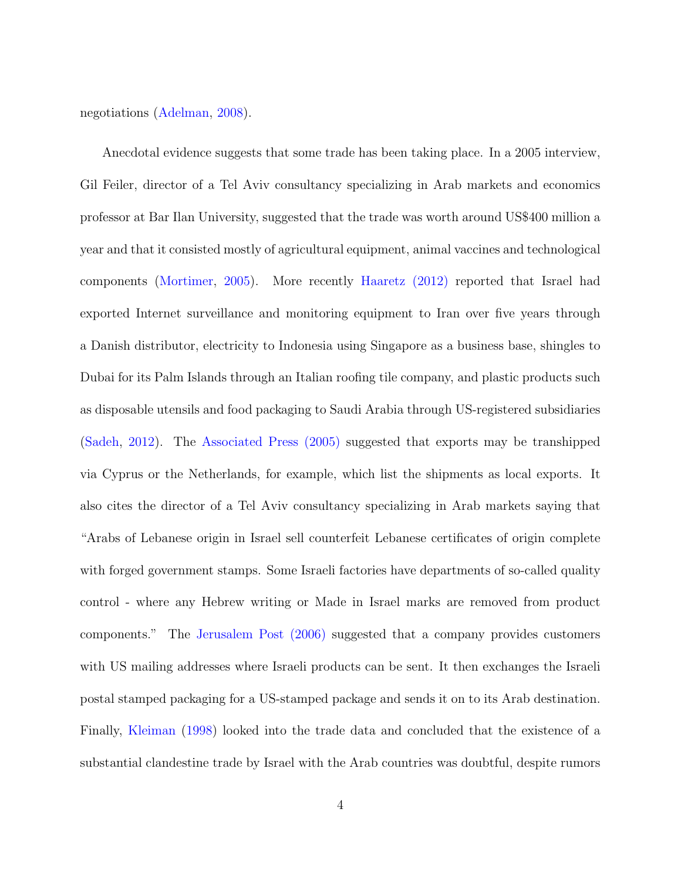negotiations [\(Adelman,](#page-23-2) [2008\)](#page-23-2).

Anecdotal evidence suggests that some trade has been taking place. In a 2005 interview, Gil Feiler, director of a Tel Aviv consultancy specializing in Arab markets and economics professor at Bar Ilan University, suggested that the trade was worth around US\$400 million a year and that it consisted mostly of agricultural equipment, animal vaccines and technological components [\(Mortimer,](#page-25-2) [2005\)](#page-25-2). More recently [Haaretz \(2012\)](http://www.haaretz.com/israel-news/business/the-badly-kept-secret-of-israel-s-trade-throughout-the-muslim-world-1.408103) reported that Israel had exported Internet surveillance and monitoring equipment to Iran over five years through a Danish distributor, electricity to Indonesia using Singapore as a business base, shingles to Dubai for its Palm Islands through an Italian roofing tile company, and plastic products such as disposable utensils and food packaging to Saudi Arabia through US-registered subsidiaries [\(Sadeh,](#page-25-3) [2012\)](#page-25-3). The [Associated Press \(2005\)](http://www.ynetnews.com/articles/0,7340,L-3190534,00.html) suggested that exports may be transhipped via Cyprus or the Netherlands, for example, which list the shipments as local exports. It also cites the director of a Tel Aviv consultancy specializing in Arab markets saying that "Arabs of Lebanese origin in Israel sell counterfeit Lebanese certificates of origin complete with forged government stamps. Some Israeli factories have departments of so-called quality control - where any Hebrew writing or Made in Israel marks are removed from product components." The [Jerusalem Post \(2006\)](http://www.jpost.com/Middle-East/Arab-boycott-largely-reduced-to-lip-service) suggested that a company provides customers with US mailing addresses where Israeli products can be sent. It then exchanges the Israeli postal stamped packaging for a US-stamped package and sends it on to its Arab destination. Finally, [Kleiman](#page-24-3) [\(1998\)](#page-24-3) looked into the trade data and concluded that the existence of a substantial clandestine trade by Israel with the Arab countries was doubtful, despite rumors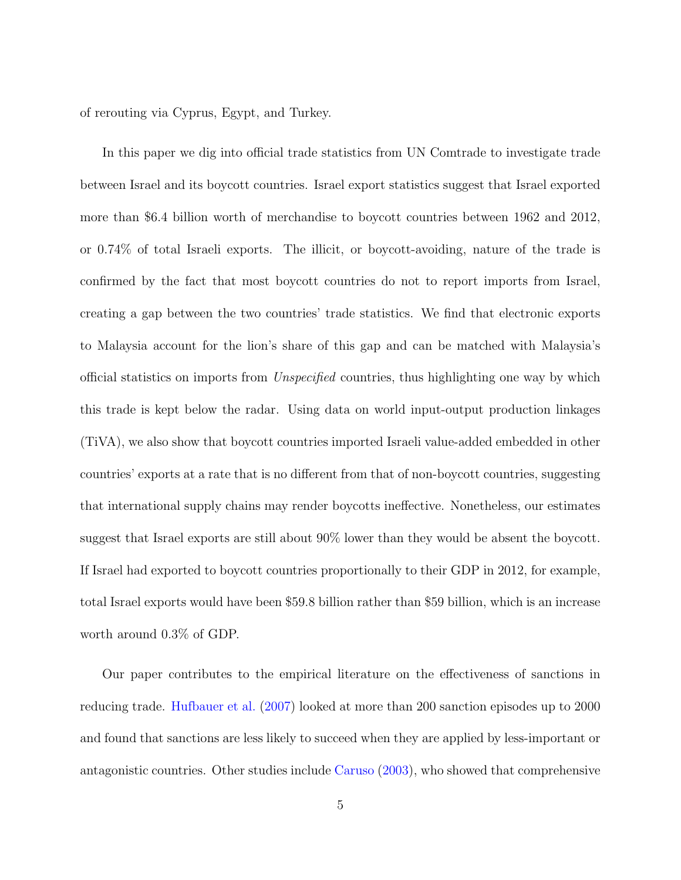of rerouting via Cyprus, Egypt, and Turkey.

In this paper we dig into official trade statistics from UN Comtrade to investigate trade between Israel and its boycott countries. Israel export statistics suggest that Israel exported more than \$6.4 billion worth of merchandise to boycott countries between 1962 and 2012, or 0.74% of total Israeli exports. The illicit, or boycott-avoiding, nature of the trade is confirmed by the fact that most boycott countries do not to report imports from Israel, creating a gap between the two countries' trade statistics. We find that electronic exports to Malaysia account for the lion's share of this gap and can be matched with Malaysia's official statistics on imports from Unspecified countries, thus highlighting one way by which this trade is kept below the radar. Using data on world input-output production linkages (TiVA), we also show that boycott countries imported Israeli value-added embedded in other countries' exports at a rate that is no different from that of non-boycott countries, suggesting that international supply chains may render boycotts ineffective. Nonetheless, our estimates suggest that Israel exports are still about 90% lower than they would be absent the boycott. If Israel had exported to boycott countries proportionally to their GDP in 2012, for example, total Israel exports would have been \$59.8 billion rather than \$59 billion, which is an increase worth around 0.3% of GDP.

Our paper contributes to the empirical literature on the effectiveness of sanctions in reducing trade. [Hufbauer et al.](#page-24-4) [\(2007\)](#page-24-4) looked at more than 200 sanction episodes up to 2000 and found that sanctions are less likely to succeed when they are applied by less-important or antagonistic countries. Other studies include [Caruso](#page-23-3) [\(2003\)](#page-23-3), who showed that comprehensive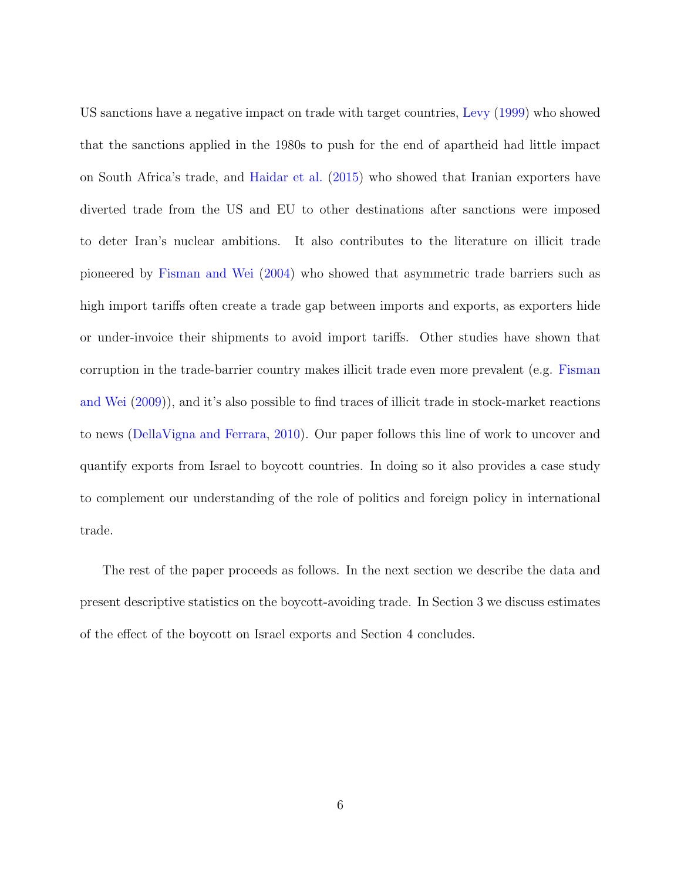US sanctions have a negative impact on trade with target countries, [Levy](#page-24-5) [\(1999\)](#page-24-5) who showed that the sanctions applied in the 1980s to push for the end of apartheid had little impact on South Africa's trade, and [Haidar et al.](#page-24-6) [\(2015\)](#page-24-6) who showed that Iranian exporters have diverted trade from the US and EU to other destinations after sanctions were imposed to deter Iran's nuclear ambitions. It also contributes to the literature on illicit trade pioneered by [Fisman and Wei](#page-23-4) [\(2004\)](#page-23-4) who showed that asymmetric trade barriers such as high import tariffs often create a trade gap between imports and exports, as exporters hide or under-invoice their shipments to avoid import tariffs. Other studies have shown that corruption in the trade-barrier country makes illicit trade even more prevalent (e.g. [Fisman](#page-23-5) [and Wei](#page-23-5) [\(2009\)](#page-23-5)), and it's also possible to find traces of illicit trade in stock-market reactions to news [\(DellaVigna and Ferrara,](#page-23-6) [2010\)](#page-23-6). Our paper follows this line of work to uncover and quantify exports from Israel to boycott countries. In doing so it also provides a case study to complement our understanding of the role of politics and foreign policy in international trade.

The rest of the paper proceeds as follows. In the next section we describe the data and present descriptive statistics on the boycott-avoiding trade. In Section 3 we discuss estimates of the effect of the boycott on Israel exports and Section 4 concludes.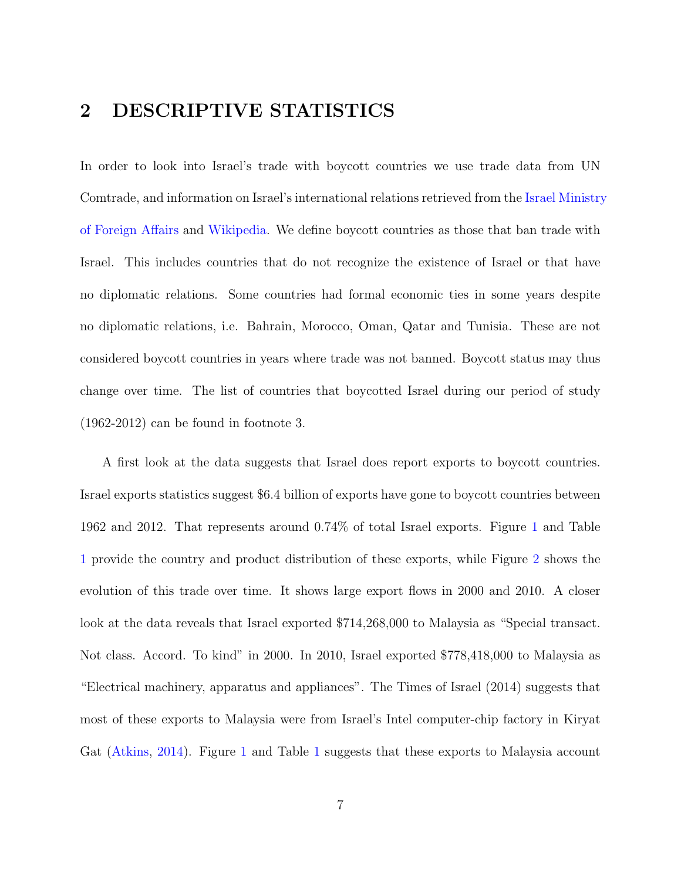#### 2 DESCRIPTIVE STATISTICS

In order to look into Israel's trade with boycott countries we use trade data from UN Comtrade, and information on Israel's international relations retrieved from the [Israel Ministry](http://mfa.gov.il/MFA/AboutTheMinistry/Pages/Israel-s%20Diplomatic%20Missions%20Abroad.aspx) [of Foreign Affairs](http://mfa.gov.il/MFA/AboutTheMinistry/Pages/Israel-s%20Diplomatic%20Missions%20Abroad.aspx) and [Wikipedia.](https://en.wikipedia.org/wiki/Foreign_relations_of_Israel) We define boycott countries as those that ban trade with Israel. This includes countries that do not recognize the existence of Israel or that have no diplomatic relations. Some countries had formal economic ties in some years despite no diplomatic relations, i.e. Bahrain, Morocco, Oman, Qatar and Tunisia. These are not considered boycott countries in years where trade was not banned. Boycott status may thus change over time. The list of countries that boycotted Israel during our period of study (1962-2012) can be found in footnote 3.

A first look at the data suggests that Israel does report exports to boycott countries. Israel exports statistics suggest \$6.4 billion of exports have gone to boycott countries between 1962 and 2012. That represents around 0.74% of total Israel exports. Figure [1](#page-14-0) and Table [1](#page-15-0) provide the country and product distribution of these exports, while Figure [2](#page-16-0) shows the evolution of this trade over time. It shows large export flows in 2000 and 2010. A closer look at the data reveals that Israel exported \$714,268,000 to Malaysia as "Special transact. Not class. Accord. To kind" in 2000. In 2010, Israel exported \$778,418,000 to Malaysia as "Electrical machinery, apparatus and appliances". The Times of Israel (2014) suggests that most of these exports to Malaysia were from Israel's Intel computer-chip factory in Kiryat Gat [\(Atkins,](#page-23-7) [2014\)](#page-23-7). Figure [1](#page-15-0) and Table 1 suggests that these exports to Malaysia account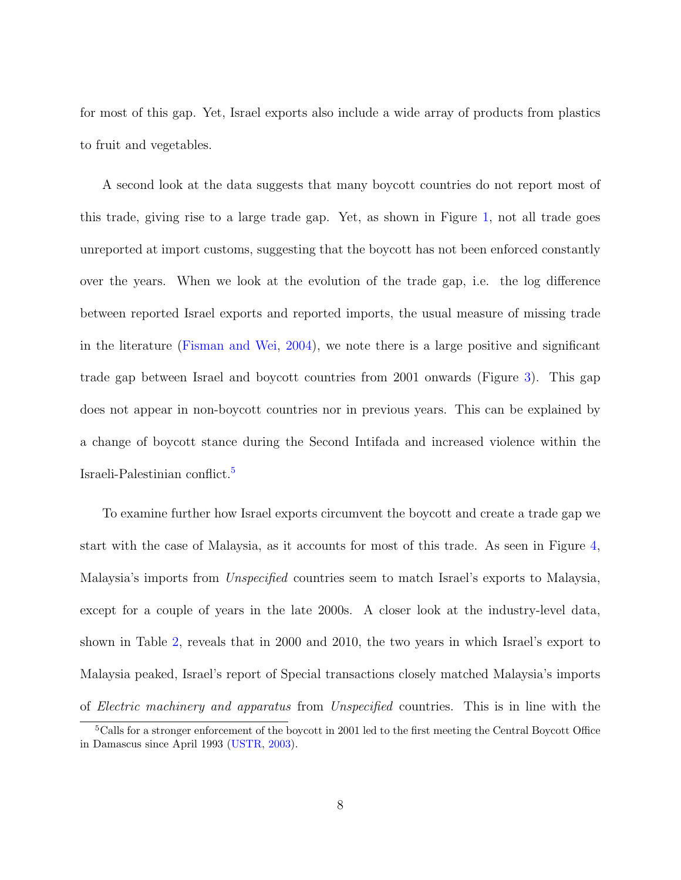for most of this gap. Yet, Israel exports also include a wide array of products from plastics to fruit and vegetables.

A second look at the data suggests that many boycott countries do not report most of this trade, giving rise to a large trade gap. Yet, as shown in Figure [1,](#page-14-0) not all trade goes unreported at import customs, suggesting that the boycott has not been enforced constantly over the years. When we look at the evolution of the trade gap, i.e. the log difference between reported Israel exports and reported imports, the usual measure of missing trade in the literature [\(Fisman and Wei,](#page-23-4) [2004\)](#page-23-4), we note there is a large positive and significant trade gap between Israel and boycott countries from 2001 onwards (Figure [3\)](#page-17-0). This gap does not appear in non-boycott countries nor in previous years. This can be explained by a change of boycott stance during the Second Intifada and increased violence within the Israeli-Palestinian conflict.[5](#page-8-0)

To examine further how Israel exports circumvent the boycott and create a trade gap we start with the case of Malaysia, as it accounts for most of this trade. As seen in Figure [4,](#page-18-0) Malaysia's imports from Unspecified countries seem to match Israel's exports to Malaysia, except for a couple of years in the late 2000s. A closer look at the industry-level data, shown in Table [2,](#page-19-0) reveals that in 2000 and 2010, the two years in which Israel's export to Malaysia peaked, Israel's report of Special transactions closely matched Malaysia's imports of Electric machinery and apparatus from Unspecified countries. This is in line with the

<span id="page-8-0"></span><sup>&</sup>lt;sup>5</sup>Calls for a stronger enforcement of the boycott in 2001 led to the first meeting the Central Boycott Office in Damascus since April 1993 [\(USTR,](#page-25-4) [2003\)](#page-25-4).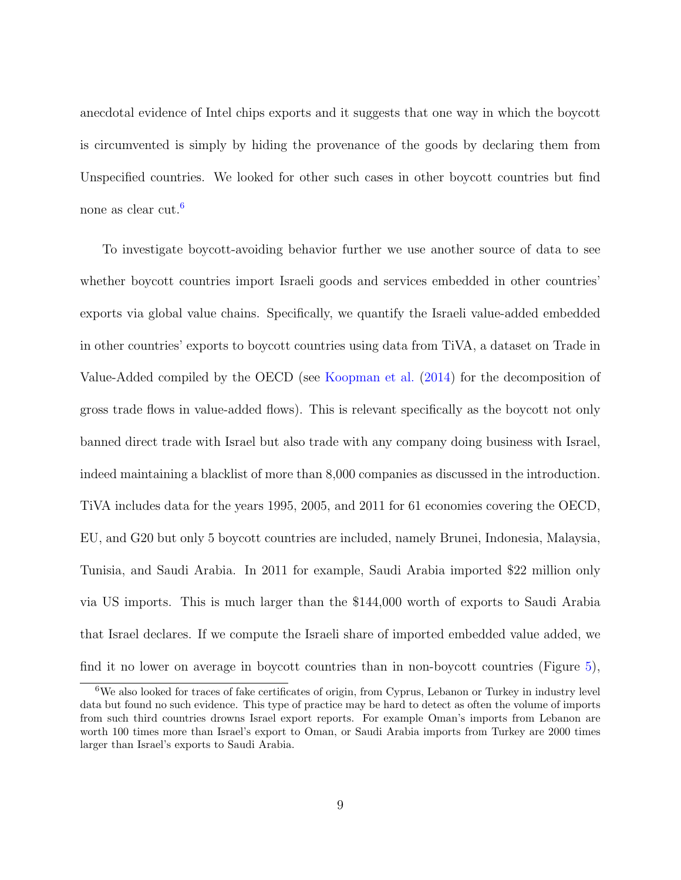anecdotal evidence of Intel chips exports and it suggests that one way in which the boycott is circumvented is simply by hiding the provenance of the goods by declaring them from Unspecified countries. We looked for other such cases in other boycott countries but find none as clear cut.[6](#page-9-0)

To investigate boycott-avoiding behavior further we use another source of data to see whether boycott countries import Israeli goods and services embedded in other countries' exports via global value chains. Specifically, we quantify the Israeli value-added embedded in other countries' exports to boycott countries using data from TiVA, a dataset on Trade in Value-Added compiled by the OECD (see [Koopman et al.](#page-24-7) [\(2014\)](#page-24-7) for the decomposition of gross trade flows in value-added flows). This is relevant specifically as the boycott not only banned direct trade with Israel but also trade with any company doing business with Israel, indeed maintaining a blacklist of more than 8,000 companies as discussed in the introduction. TiVA includes data for the years 1995, 2005, and 2011 for 61 economies covering the OECD, EU, and G20 but only 5 boycott countries are included, namely Brunei, Indonesia, Malaysia, Tunisia, and Saudi Arabia. In 2011 for example, Saudi Arabia imported \$22 million only via US imports. This is much larger than the \$144,000 worth of exports to Saudi Arabia that Israel declares. If we compute the Israeli share of imported embedded value added, we find it no lower on average in boycott countries than in non-boycott countries (Figure [5\)](#page-20-0),

<span id="page-9-0"></span><sup>6</sup>We also looked for traces of fake certificates of origin, from Cyprus, Lebanon or Turkey in industry level data but found no such evidence. This type of practice may be hard to detect as often the volume of imports from such third countries drowns Israel export reports. For example Oman's imports from Lebanon are worth 100 times more than Israel's export to Oman, or Saudi Arabia imports from Turkey are 2000 times larger than Israel's exports to Saudi Arabia.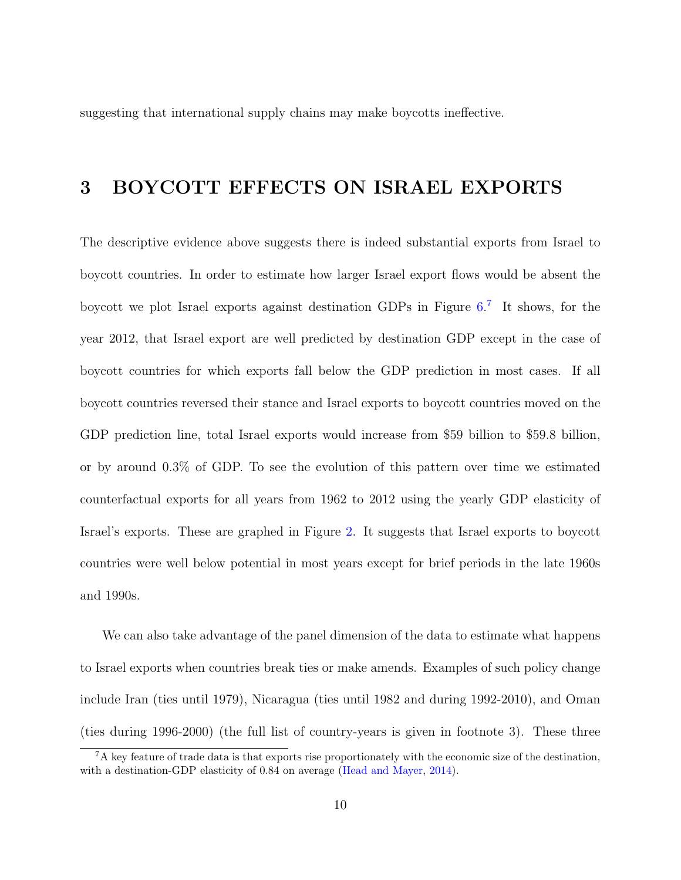suggesting that international supply chains may make boycotts ineffective.

### 3 BOYCOTT EFFECTS ON ISRAEL EXPORTS

The descriptive evidence above suggests there is indeed substantial exports from Israel to boycott countries. In order to estimate how larger Israel export flows would be absent the boycott we plot Israel exports against destination GDPs in Figure [6.](#page-21-0) [7](#page-10-0) It shows, for the year 2012, that Israel export are well predicted by destination GDP except in the case of boycott countries for which exports fall below the GDP prediction in most cases. If all boycott countries reversed their stance and Israel exports to boycott countries moved on the GDP prediction line, total Israel exports would increase from \$59 billion to \$59.8 billion, or by around 0.3% of GDP. To see the evolution of this pattern over time we estimated counterfactual exports for all years from 1962 to 2012 using the yearly GDP elasticity of Israel's exports. These are graphed in Figure [2.](#page-16-0) It suggests that Israel exports to boycott countries were well below potential in most years except for brief periods in the late 1960s and 1990s.

We can also take advantage of the panel dimension of the data to estimate what happens to Israel exports when countries break ties or make amends. Examples of such policy change include Iran (ties until 1979), Nicaragua (ties until 1982 and during 1992-2010), and Oman (ties during 1996-2000) (the full list of country-years is given in footnote 3). These three

<span id="page-10-0"></span><sup>7</sup>A key feature of trade data is that exports rise proportionately with the economic size of the destination, with a destination-GDP elasticity of 0.84 on average [\(Head and Mayer,](#page-24-8) [2014\)](#page-24-8).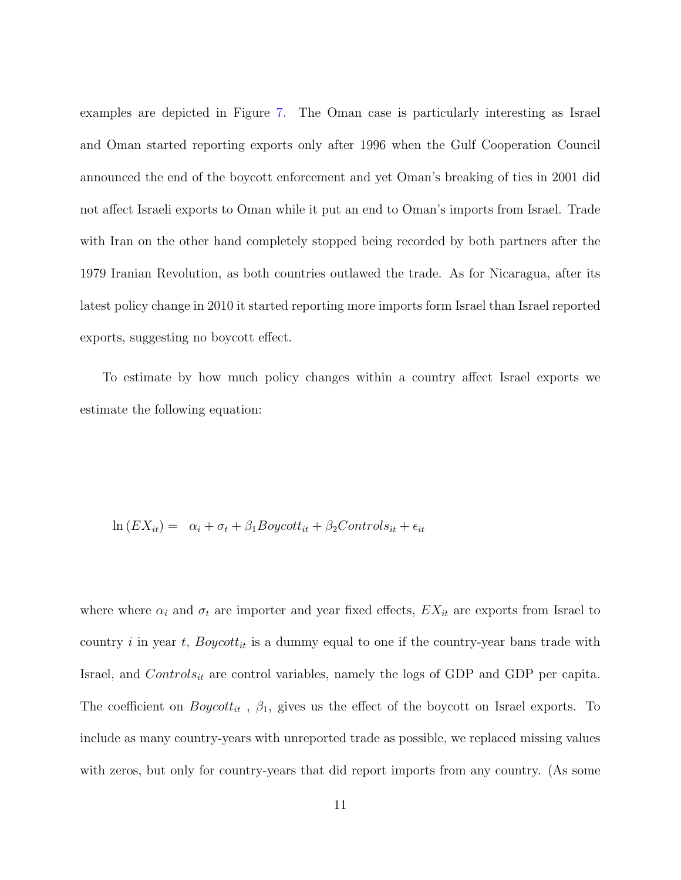examples are depicted in Figure [7.](#page-22-0) The Oman case is particularly interesting as Israel and Oman started reporting exports only after 1996 when the Gulf Cooperation Council announced the end of the boycott enforcement and yet Oman's breaking of ties in 2001 did not affect Israeli exports to Oman while it put an end to Oman's imports from Israel. Trade with Iran on the other hand completely stopped being recorded by both partners after the 1979 Iranian Revolution, as both countries outlawed the trade. As for Nicaragua, after its latest policy change in 2010 it started reporting more imports form Israel than Israel reported exports, suggesting no boycott effect.

To estimate by how much policy changes within a country affect Israel exports we estimate the following equation:

$$
\ln(EX_{it}) = \alpha_i + \sigma_t + \beta_1 Boycott_{it} + \beta_2 Controls_{it} + \epsilon_{it}
$$

where where  $\alpha_i$  and  $\sigma_t$  are importer and year fixed effects,  $EX_{it}$  are exports from Israel to country i in year t,  $Boycott_{it}$  is a dummy equal to one if the country-year bans trade with Israel, and  $Controls_{it}$  are control variables, namely the logs of GDP and GDP per capita. The coefficient on  $Boycott_{it}$ ,  $\beta_1$ , gives us the effect of the boycott on Israel exports. To include as many country-years with unreported trade as possible, we replaced missing values with zeros, but only for country-years that did report imports from any country. (As some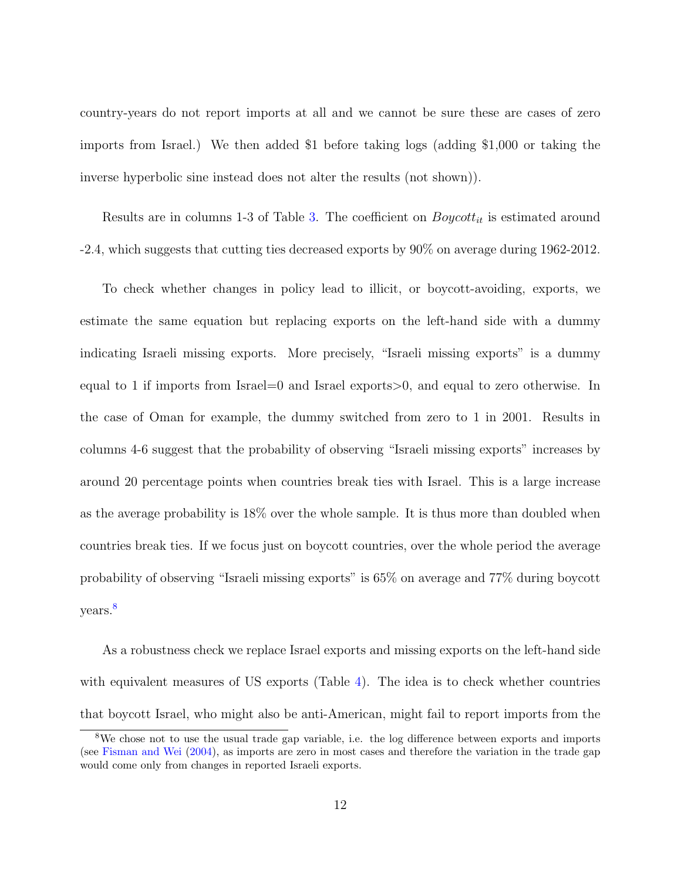country-years do not report imports at all and we cannot be sure these are cases of zero imports from Israel.) We then added \$1 before taking logs (adding \$1,000 or taking the inverse hyperbolic sine instead does not alter the results (not shown)).

Results are in columns 1-3 of Table [3.](#page-20-1) The coefficient on  $Boycott_{it}$  is estimated around -2.4, which suggests that cutting ties decreased exports by 90% on average during 1962-2012.

To check whether changes in policy lead to illicit, or boycott-avoiding, exports, we estimate the same equation but replacing exports on the left-hand side with a dummy indicating Israeli missing exports. More precisely, "Israeli missing exports" is a dummy equal to 1 if imports from Israel=0 and Israel exports>0, and equal to zero otherwise. In the case of Oman for example, the dummy switched from zero to 1 in 2001. Results in columns 4-6 suggest that the probability of observing "Israeli missing exports" increases by around 20 percentage points when countries break ties with Israel. This is a large increase as the average probability is 18% over the whole sample. It is thus more than doubled when countries break ties. If we focus just on boycott countries, over the whole period the average probability of observing "Israeli missing exports" is 65% on average and 77% during boycott years.<sup>[8](#page-12-0)</sup>

As a robustness check we replace Israel exports and missing exports on the left-hand side with equivalent measures of US exports (Table [4\)](#page-21-1). The idea is to check whether countries that boycott Israel, who might also be anti-American, might fail to report imports from the

<span id="page-12-0"></span><sup>8</sup>We chose not to use the usual trade gap variable, i.e. the log difference between exports and imports (see [Fisman and Wei](#page-23-4) [\(2004\)](#page-23-4), as imports are zero in most cases and therefore the variation in the trade gap would come only from changes in reported Israeli exports.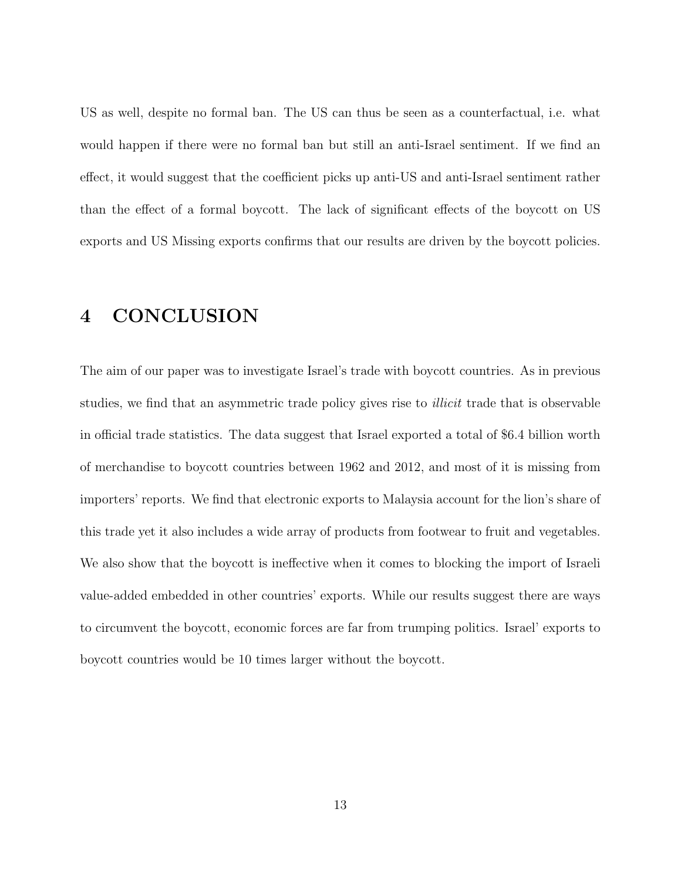US as well, despite no formal ban. The US can thus be seen as a counterfactual, i.e. what would happen if there were no formal ban but still an anti-Israel sentiment. If we find an effect, it would suggest that the coefficient picks up anti-US and anti-Israel sentiment rather than the effect of a formal boycott. The lack of significant effects of the boycott on US exports and US Missing exports confirms that our results are driven by the boycott policies.

### 4 CONCLUSION

The aim of our paper was to investigate Israel's trade with boycott countries. As in previous studies, we find that an asymmetric trade policy gives rise to *illicit* trade that is observable in official trade statistics. The data suggest that Israel exported a total of \$6.4 billion worth of merchandise to boycott countries between 1962 and 2012, and most of it is missing from importers' reports. We find that electronic exports to Malaysia account for the lion's share of this trade yet it also includes a wide array of products from footwear to fruit and vegetables. We also show that the boycott is ineffective when it comes to blocking the import of Israeli value-added embedded in other countries' exports. While our results suggest there are ways to circumvent the boycott, economic forces are far from trumping politics. Israel' exports to boycott countries would be 10 times larger without the boycott.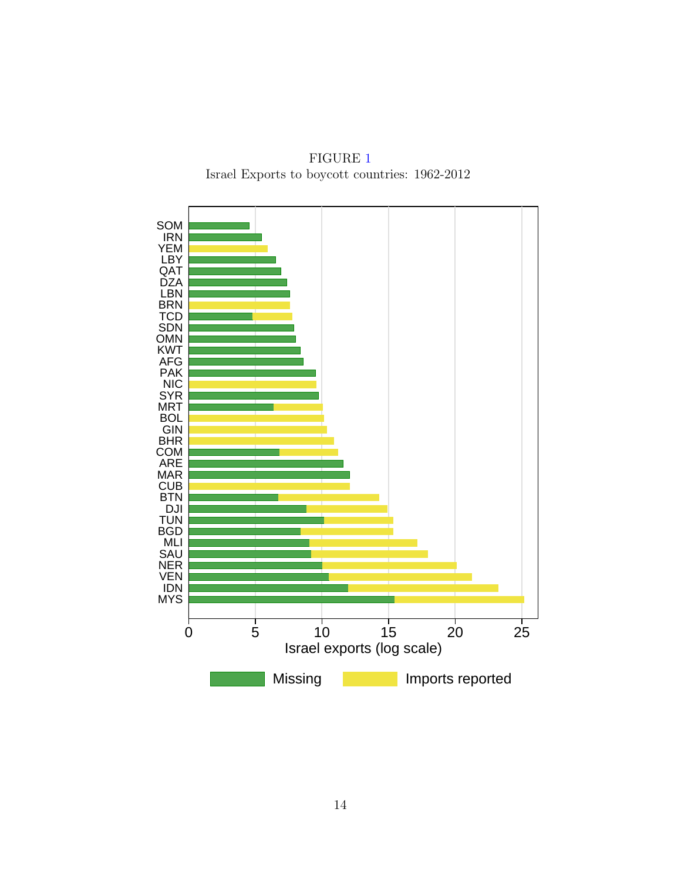FIGURE [1](#page-14-0) Israel Exports to boycott countries: 1962-2012

<span id="page-14-0"></span>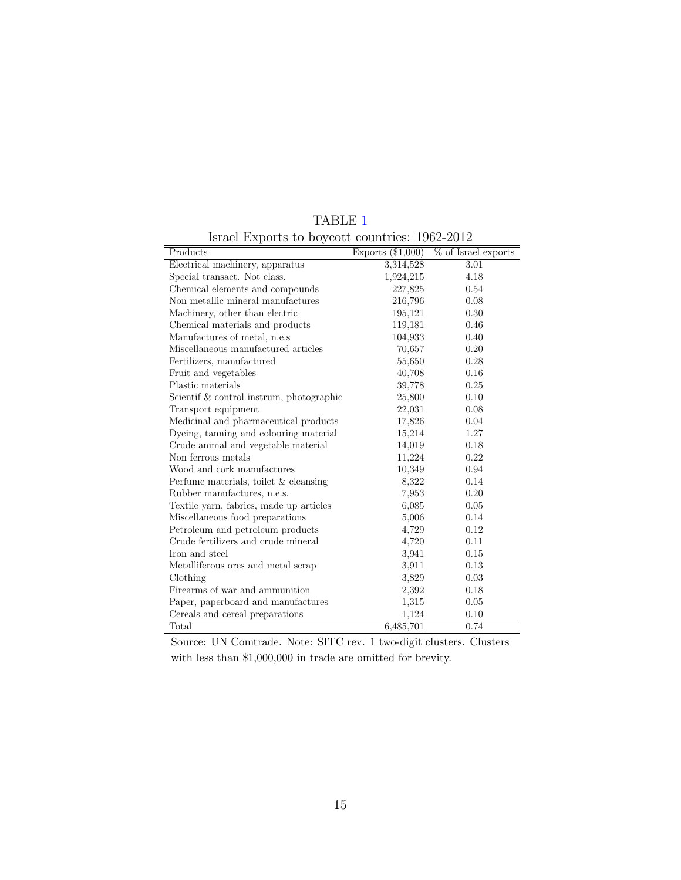<span id="page-15-0"></span>

| $\frac{1}{2}$<br>Products                | $\frac{1}{20000}$ countries. $\frac{1}{20000}$ $\frac{1}{2000}$<br>$\overline{\text{Exports}}$ (\$1,000) | $\%$ of Israel exports |
|------------------------------------------|----------------------------------------------------------------------------------------------------------|------------------------|
| Electrical machinery, apparatus          | 3,314,528                                                                                                | 3.01                   |
| Special transact. Not class.             | 1,924,215                                                                                                | 4.18                   |
| Chemical elements and compounds          | 227,825                                                                                                  | 0.54                   |
| Non metallic mineral manufactures        | 216,796                                                                                                  | 0.08                   |
| Machinery, other than electric           | 195,121                                                                                                  | 0.30                   |
| Chemical materials and products          | 119,181                                                                                                  | 0.46                   |
| Manufactures of metal, n.e.s             | 104,933                                                                                                  | 0.40                   |
| Miscellaneous manufactured articles      | 70,657                                                                                                   | 0.20                   |
| Fertilizers, manufactured                | 55,650                                                                                                   | 0.28                   |
| Fruit and vegetables                     | 40,708                                                                                                   | 0.16                   |
| Plastic materials                        | 39,778                                                                                                   | 0.25                   |
| Scientif & control instrum, photographic | 25,800                                                                                                   | 0.10                   |
| Transport equipment                      | 22,031                                                                                                   | 0.08                   |
| Medicinal and pharmaceutical products    | 17,826                                                                                                   | 0.04                   |
| Dyeing, tanning and colouring material   | 15,214                                                                                                   | 1.27                   |
| Crude animal and vegetable material      | 14,019                                                                                                   | 0.18                   |
| Non ferrous metals                       | 11,224                                                                                                   | 0.22                   |
| Wood and cork manufactures               | 10,349                                                                                                   | 0.94                   |
| Perfume materials, toilet $&$ cleansing  | 8,322                                                                                                    | 0.14                   |
| Rubber manufactures, n.e.s.              | 7,953                                                                                                    | 0.20                   |
| Textile yarn, fabrics, made up articles  | 6,085                                                                                                    | 0.05                   |
| Miscellaneous food preparations          | 5,006                                                                                                    | 0.14                   |
| Petroleum and petroleum products         | 4,729                                                                                                    | 0.12                   |
| Crude fertilizers and crude mineral      | 4,720                                                                                                    | 0.11                   |
| Iron and steel                           | 3,941                                                                                                    | 0.15                   |
| Metalliferous ores and metal scrap       | 3,911                                                                                                    | 0.13                   |
| Clothing                                 | 3,829                                                                                                    | 0.03                   |
| Firearms of war and ammunition           | 2,392                                                                                                    | 0.18                   |
| Paper, paperboard and manufactures       | 1,315                                                                                                    | 0.05                   |
| Cereals and cereal preparations          | 1,124                                                                                                    | 0.10                   |
| Total                                    | 6,485,701                                                                                                | 0.74                   |

TABLE [1](#page-15-0)

Israel Exports to boycott countries: 1962-2012

Source: UN Comtrade. Note: SITC rev. 1 two-digit clusters. Clusters with less than \$1,000,000 in trade are omitted for brevity.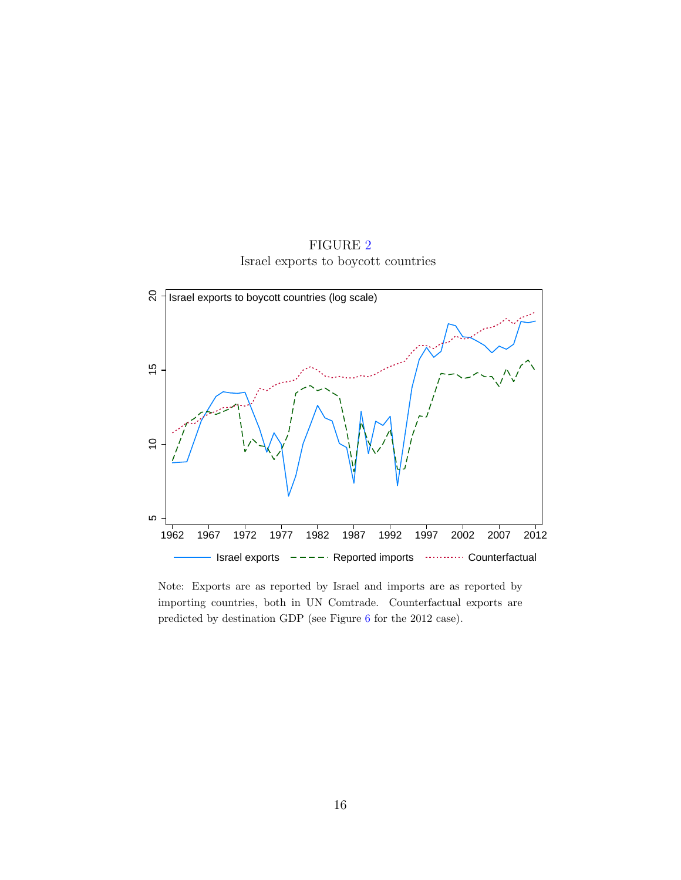

<span id="page-16-0"></span>

Note: Exports are as reported by Israel and imports are as reported by importing countries, both in UN Comtrade. Counterfactual exports are predicted by destination GDP (see Figure [6](#page-21-0) for the 2012 case).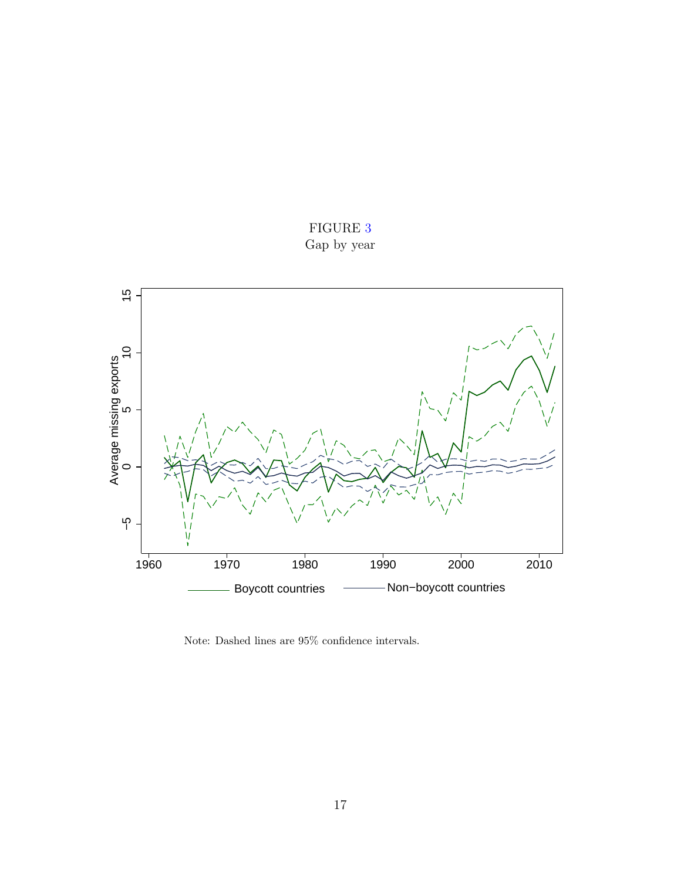

<span id="page-17-0"></span>

Note: Dashed lines are 95% confidence intervals.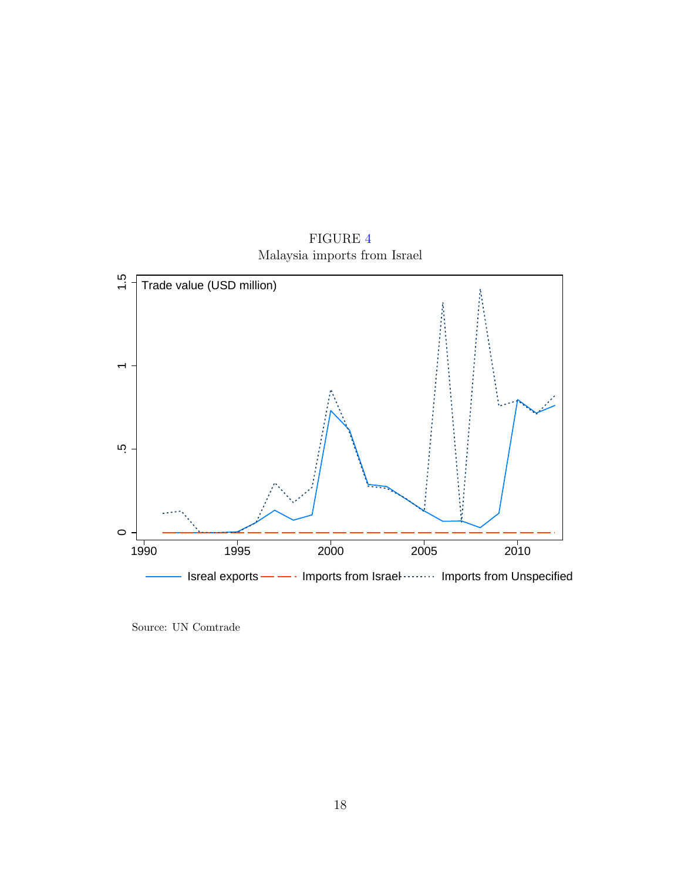<span id="page-18-0"></span>

FIGURE [4](#page-18-0) Malaysia imports from Israel

Source: UN Comtrade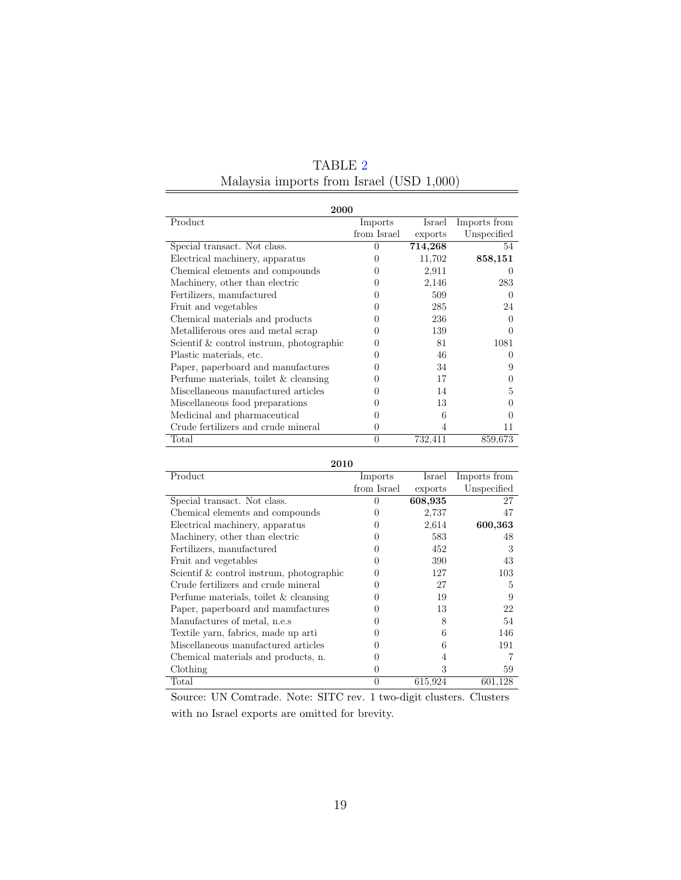<span id="page-19-0"></span>

| 2000                                     |              |         |              |  |  |  |  |
|------------------------------------------|--------------|---------|--------------|--|--|--|--|
| Product                                  | Imports      | Israel  | Imports from |  |  |  |  |
|                                          | from Israel  | exports | Unspecified  |  |  |  |  |
| Special transact. Not class.             | $\theta$     | 714,268 | 54           |  |  |  |  |
| Electrical machinery, apparatus          | 0            | 11,702  | 858,151      |  |  |  |  |
| Chemical elements and compounds          | 0            | 2,911   |              |  |  |  |  |
| Machinery, other than electric           | 0            | 2,146   | 283          |  |  |  |  |
| Fertilizers, manufactured                | 0            | 509     | $\theta$     |  |  |  |  |
| Fruit and vegetables                     | $\mathbf{0}$ | 285     | 24           |  |  |  |  |
| Chemical materials and products          | $\theta$     | 236     | $\mathbf{0}$ |  |  |  |  |
| Metalliferous ores and metal scrap       | 0            | 139     |              |  |  |  |  |
| Scientif & control instrum, photographic | $\cup$       | 81      | 1081         |  |  |  |  |
| Plastic materials, etc.                  | $\mathbf{0}$ | 46      |              |  |  |  |  |
| Paper, paperboard and manufactures       | 0            | 34      | 9            |  |  |  |  |
| Perfume materials, toilet $\&$ cleansing | 0            | 17      |              |  |  |  |  |
| Miscellaneous manufactured articles      | $\theta$     | 14      | 5            |  |  |  |  |
| Miscellaneous food preparations          | $\theta$     | 13      |              |  |  |  |  |
| Medicinal and pharmaceutical             | $\theta$     | 6       |              |  |  |  |  |
| Crude fertilizers and crude mineral      | 0            | 4       | 11           |  |  |  |  |
| Total                                    | $\theta$     | 732,411 | 859,673      |  |  |  |  |

TABLE [2](#page-19-0) Malaysia imports from Israel (USD 1,000)

2010

| Product                                    | Imports          | Israel  | Imports from |
|--------------------------------------------|------------------|---------|--------------|
|                                            | from Israel      | exports | Unspecified  |
| Special transact. Not class.               | $\Omega$         | 608,935 | 27           |
| Chemical elements and compounds            | $\mathcal{O}$    | 2,737   | 47           |
| Electrical machinery, apparatus            | $\left( \right)$ | 2,614   | 600,363      |
| Machinery, other than electric             | $\theta$         | 583     | 48           |
| Fertilizers, manufactured                  |                  | 452     | 3            |
| Fruit and vegetables                       |                  | 390     | 43           |
| Scientif $&$ control instrum, photographic | $\left( \right)$ | 127     | 103          |
| Crude fertilizers and crude mineral        | $\left( \right)$ | 27      | 5            |
| Perfume materials, toilet & cleansing      | $\left( \right)$ | 19      | 9            |
| Paper, paperboard and manufactures         | 0                | 13      | 22           |
| Manufactures of metal, n.e.s.              | $\theta$         | 8       | 54           |
| Textile yarn, fabrics, made up arti        | $\left( \right)$ | 6       | 146          |
| Miscellaneous manufactured articles        | $\left( \right)$ | 6       | 191          |
| Chemical materials and products, n.        | 0                |         |              |
| Clothing                                   | $\theta$         | 3       | 59           |
| Total                                      | $\Omega$         | 615,924 | 601,128      |

Source: UN Comtrade. Note: SITC rev. 1 two-digit clusters. Clusters with no Israel exports are omitted for brevity.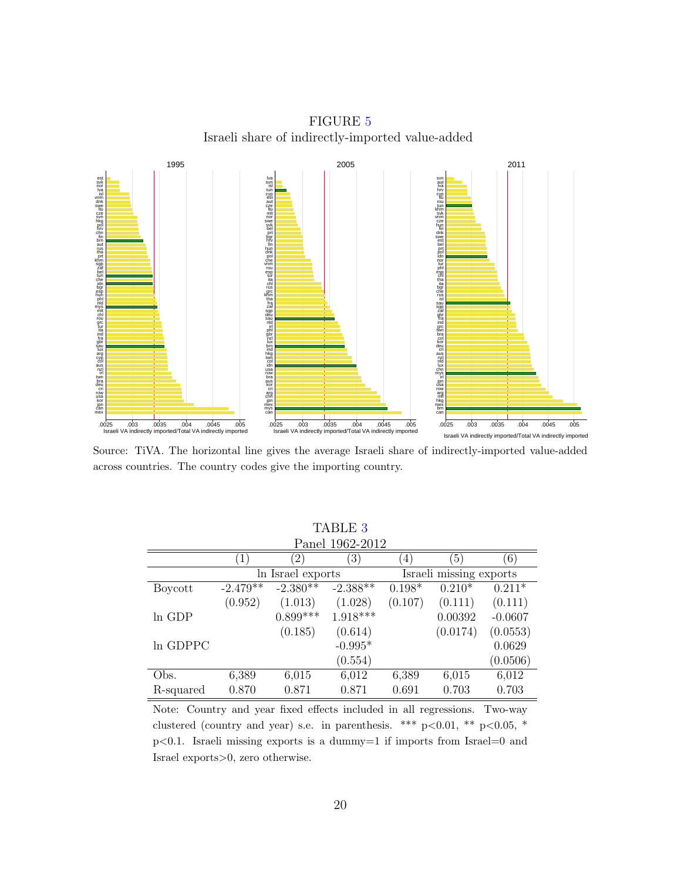FIGURE [5](#page-20-0) Israeli share of indirectly-imported value-added

<span id="page-20-0"></span>

Source: TiVA. The horizontal line gives the average Israeli share of indirectly-imported value-added across countries. The country codes give the importing country.

<span id="page-20-1"></span>

| <b>TABLE 3</b>  |                  |                   |                  |                  |                         |           |
|-----------------|------------------|-------------------|------------------|------------------|-------------------------|-----------|
| Panel 1962-2012 |                  |                   |                  |                  |                         |           |
|                 | $\left(1\right)$ | $\left( 2\right)$ | $\left(3\right)$ | $\left(4\right)$ | $\left(5\right)$        | (6)       |
|                 |                  | In Israel exports |                  |                  | Israeli missing exports |           |
| Boycott         | $-2.479**$       | $-2.380*$         | $-2.388*$        | $0.198*$         | $0.210*$                | $0.211*$  |
|                 | (0.952)          | (1.013)           | (1.028)          | (0.107)          | (0.111)                 | (0.111)   |
| In GDP          |                  | $0.899***$        | $1.918***$       |                  | 0.00392                 | $-0.0607$ |
|                 |                  | (0.185)           | (0.614)          |                  | (0.0174)                | (0.0553)  |
| In GDPPC        |                  |                   | $-0.995*$        |                  |                         | 0.0629    |
|                 |                  |                   | (0.554)          |                  |                         | (0.0506)  |
| Obs.            | 6,389            | 6,015             | 6,012            | 6,389            | 6,015                   | 6,012     |
| R-squared       | 0.870            | 0.871             | 0.871            | 0.691            | 0.703                   | 0.703     |

Note: Country and year fixed effects included in all regressions. Two-way clustered (country and year) s.e. in parenthesis. \*\*\*  $p<0.01$ , \*\*  $p<0.05$ , \*  $p<0.1$ . Israeli missing exports is a dummy=1 if imports from Israel=0 and Israel exports>0, zero otherwise.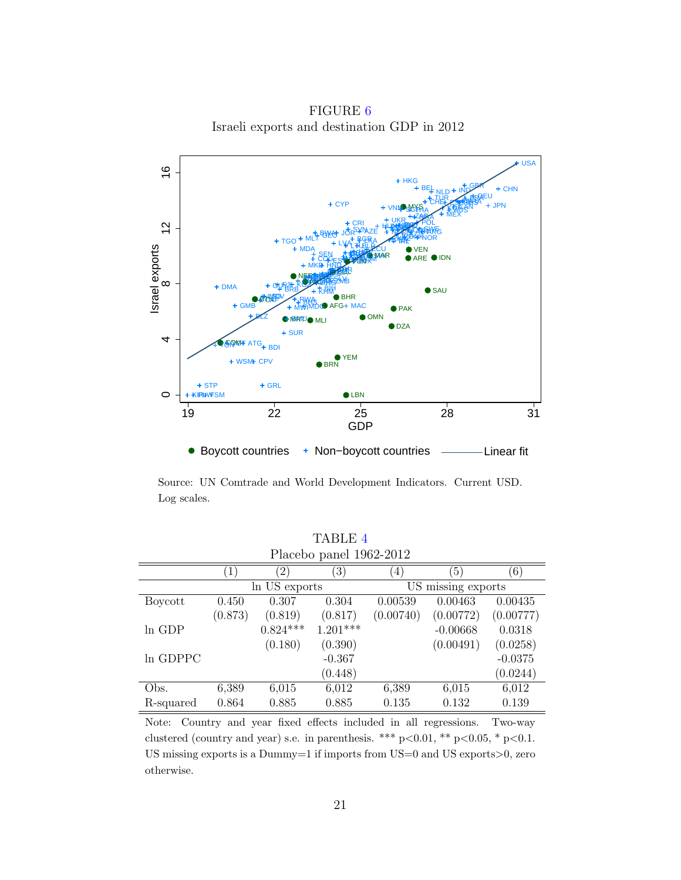<span id="page-21-0"></span>USA  $\frac{6}{1}$ 8 12 16 HKG GBR  $+$  CHN BEL IND NLD DEU TUR FRA CHEL ES HTT ITA **RUS BRA** + CYF ESP JPN VNM MYS KOR SGP THA AUS MEX ZAJE NGA UKR  $\frac{1}{2}$ POL CRI GRAC CH EGY HUN ROM **CZE** SYN 7F THE WAS CORRUSE PRT  $<$ AZE + NAGHARE COLE **BWA** JOR NZL ARG GEO PHL DNK NOR MLT BGR PER **KAZ** TGO eka IRKE LVA LTU BLR VEN Israel exports **MDA** ECU HRV GHA GTM SEN TZA  $\mathcal{U}$ SVK MAR ARE  $\bullet$ IDN EST **AU** COG DOM PAN TUN LUX MKD HND **KMR** PRY UGA BOL NPL ISL JAM NER ARM  $M<sup>2</sup>$ **ZMB** NAM **SLV** BEN  $\mathbf{M}$ ALB  $^{\circ}$ + DMA PNG FJI KGZ GUY BIH  $\bullet$  SAU BRB KHM **LASO** MDV BHR BTN RWA **TALE** BHS GMB MDG AFG MAC PAK MWI **BLZ G** MARITU OM **MRITIO** MLI **DZA**  $+$  SUR 4**FGQMF** ATG<sub>+ BDI</sub> BRN YEM WSM+ CPV  $+$  GRL + STP ● LBN  $\circ$ **KIRHVFSM** 19 22 25 28 31 GDP ● Boycott countries + Non-boycott countries ———Linear fit

FIGURE [6](#page-21-0) Israeli exports and destination GDP in 2012

Source: UN Comtrade and World Development Indicators. Current USD. Log scales.

<span id="page-21-1"></span>

| Placebo panel 1962-2012 |                  |                   |                  |                    |                  |           |
|-------------------------|------------------|-------------------|------------------|--------------------|------------------|-----------|
|                         | $\left  \right $ | $\left( 2\right)$ | $\left(3\right)$ | (4)                | $\left(5\right)$ | (6)       |
|                         | In US exports    |                   |                  | US missing exports |                  |           |
| Boycott                 | 0.450            | 0.307             | 0.304            | 0.00539            | 0.00463          | 0.00435   |
|                         | (0.873)          | (0.819)           | (0.817)          | (0.00740)          | (0.00772)        | (0.00777) |
| $ln$ GDP                |                  | $0.824***$        | $1.201***$       |                    | $-0.00668$       | 0.0318    |
|                         |                  | (0.180)           | (0.390)          |                    | (0.00491)        | (0.0258)  |
| In GDPPC                |                  |                   | $-0.367$         |                    |                  | $-0.0375$ |
|                         |                  |                   | (0.448)          |                    |                  | (0.0244)  |
| Obs.                    | 6,389            | 6,015             | 6,012            | 6,389              | 6,015            | 6,012     |
| R-squared               | 0.864            | 0.885             | 0.885            | 0.135              | 0.132            | 0.139     |

TABLE [4](#page-21-1)

Note: Country and year fixed effects included in all regressions. Two-way clustered (country and year) s.e. in parenthesis. \*\*\* p<0.01, \*\* p<0.05, \* p<0.1. US missing exports is a Dummy=1 if imports from US=0 and US exports>0, zero otherwise.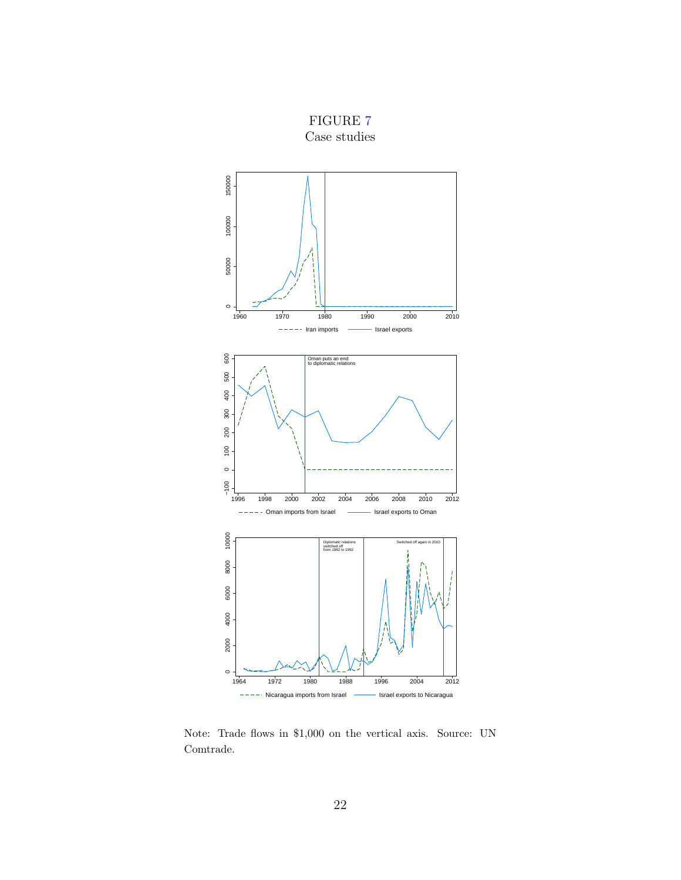<span id="page-22-0"></span>

FIGURE [7](#page-22-0) Case studies

Note: Trade flows in \$1,000 on the vertical axis. Source: UN Comtrade.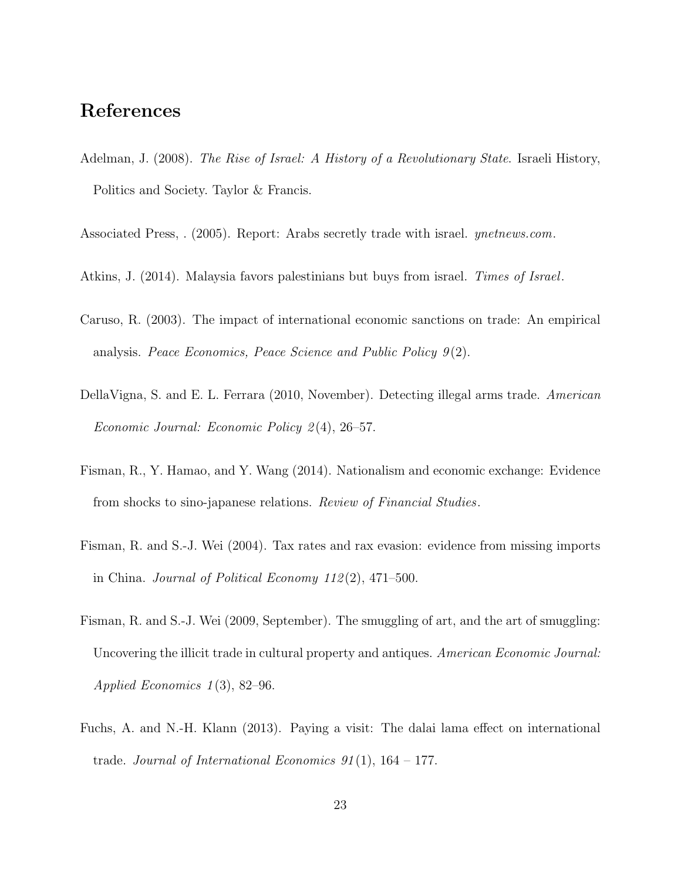#### References

- <span id="page-23-2"></span>Adelman, J. (2008). The Rise of Israel: A History of a Revolutionary State. Israeli History, Politics and Society. Taylor & Francis.
- <span id="page-23-7"></span>Associated Press, . (2005). Report: Arabs secretly trade with israel. ynetnews.com.
- <span id="page-23-3"></span>Atkins, J. (2014). Malaysia favors palestinians but buys from israel. Times of Israel.
- Caruso, R. (2003). The impact of international economic sanctions on trade: An empirical analysis. Peace Economics, Peace Science and Public Policy  $9(2)$ .
- <span id="page-23-6"></span>DellaVigna, S. and E. L. Ferrara (2010, November). Detecting illegal arms trade. American Economic Journal: Economic Policy 2 (4), 26–57.
- <span id="page-23-1"></span>Fisman, R., Y. Hamao, and Y. Wang (2014). Nationalism and economic exchange: Evidence from shocks to sino-japanese relations. Review of Financial Studies.
- <span id="page-23-4"></span>Fisman, R. and S.-J. Wei (2004). Tax rates and rax evasion: evidence from missing imports in China. Journal of Political Economy  $112(2)$ ,  $471-500$ .
- <span id="page-23-5"></span>Fisman, R. and S.-J. Wei (2009, September). The smuggling of art, and the art of smuggling: Uncovering the illicit trade in cultural property and antiques. American Economic Journal: Applied Economics  $1(3)$ , 82–96.
- <span id="page-23-0"></span>Fuchs, A. and N.-H. Klann (2013). Paying a visit: The dalai lama effect on international trade. Journal of International Economics  $91(1)$ ,  $164-177$ .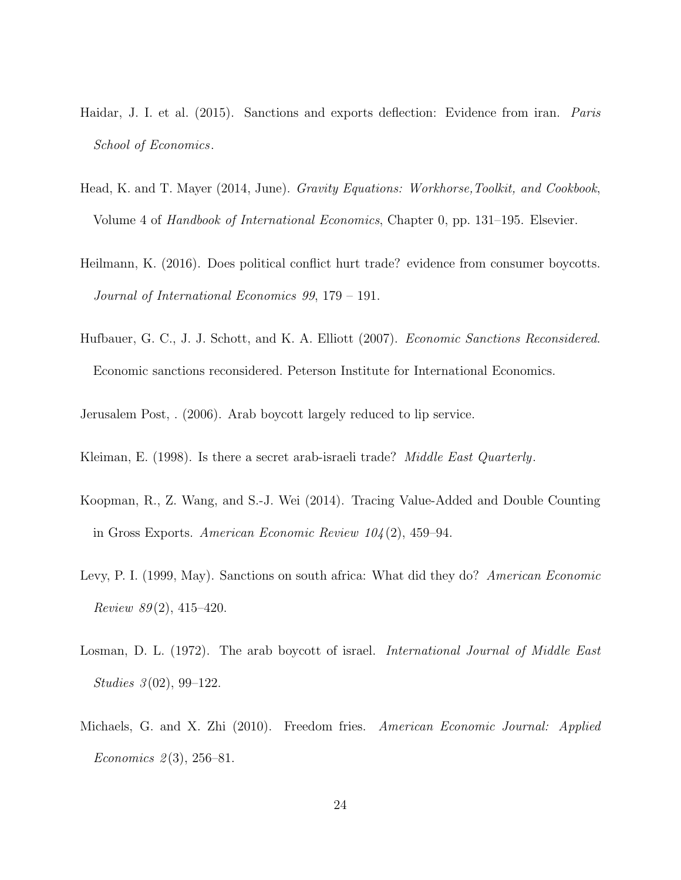- <span id="page-24-6"></span>Haidar, J. I. et al. (2015). Sanctions and exports deflection: Evidence from iran. *Paris* School of Economics.
- <span id="page-24-8"></span>Head, K. and T. Mayer (2014, June). Gravity Equations: Workhorse, Toolkit, and Cookbook, Volume 4 of Handbook of International Economics, Chapter 0, pp. 131–195. Elsevier.
- <span id="page-24-1"></span>Heilmann, K. (2016). Does political conflict hurt trade? evidence from consumer boycotts. Journal of International Economics 99, 179 – 191.
- <span id="page-24-4"></span>Hufbauer, G. C., J. J. Schott, and K. A. Elliott (2007). Economic Sanctions Reconsidered. Economic sanctions reconsidered. Peterson Institute for International Economics.

<span id="page-24-3"></span>Jerusalem Post, . (2006). Arab boycott largely reduced to lip service.

<span id="page-24-7"></span>Kleiman, E. (1998). Is there a secret arab-israeli trade? *Middle East Quarterly*.

- Koopman, R., Z. Wang, and S.-J. Wei (2014). Tracing Value-Added and Double Counting in Gross Exports. American Economic Review 104 (2), 459–94.
- <span id="page-24-5"></span>Levy, P. I. (1999, May). Sanctions on south africa: What did they do? American Economic Review  $89(2)$ , 415–420.
- <span id="page-24-2"></span>Losman, D. L. (1972). The arab boycott of israel. *International Journal of Middle East* Studies 3(02), 99–122.
- <span id="page-24-0"></span>Michaels, G. and X. Zhi (2010). Freedom fries. American Economic Journal: Applied Economics  $2(3)$ , 256–81.